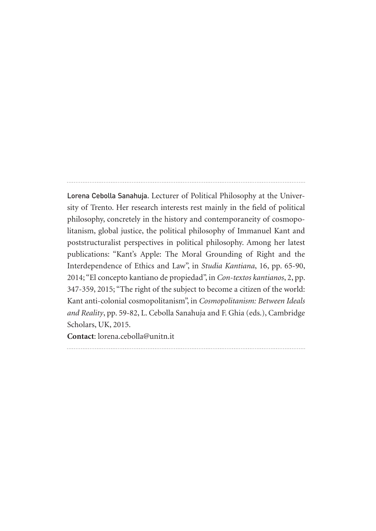Lorena Cebolla Sanahuja. Lecturer of Political Philosophy at the University of Trento. Her research interests rest mainly in the field of political philosophy, concretely in the history and contemporaneity of cosmopolitanism, global justice, the political philosophy of Immanuel Kant and poststructuralist perspectives in political philosophy. Among her latest publications: "Kant's Apple: The Moral Grounding of Right and the Interdependence of Ethics and Law", in *Studia Kantiana*, 16, pp. 65-90, 2014; "El concepto kantiano de propiedad", in *Con-textos kantianos*, 2, pp. 347-359, 2015; "The right of the subject to become a citizen of the world: Kant anti-colonial cosmopolitanism", in *Cosmopolitanism: Between Ideals and Reality*, pp. 59-82, L. Cebolla Sanahuja and F. Ghia (eds.), Cambridge Scholars, UK, 2015.

**Contact**: lorena.cebolla@unitn.it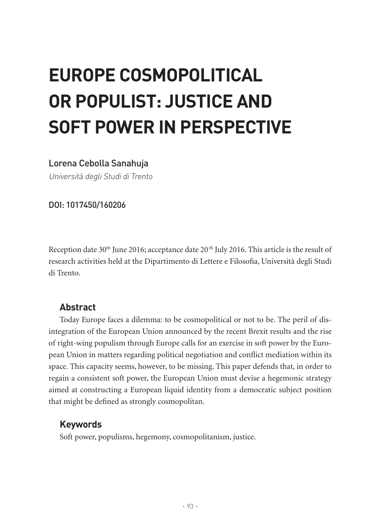# **EUROPE COSMOPOLITICAL OR POPULIST: JUSTICE AND SOFT POWER IN PERSPECTIVE**

### Lorena Cebolla Sanahuja

Università degli Studi di Trento

DOI: 1017450/160206

Reception date 30<sup>th</sup> June 2016; acceptance date 20<sup>th</sup> July 2016. This article is the result of research activities held at the Dipartimento di Lettere e Filosofia, Università degli Studi di Trento.

# **Abstract**

Today Europe faces a dilemma: to be cosmopolitical or not to be. The peril of disintegration of the European Union announced by the recent Brexit results and the rise of right-wing populism through Europe calls for an exercise in soft power by the European Union in matters regarding political negotiation and conflict mediation within its space. This capacity seems, however, to be missing. This paper defends that, in order to regain a consistent soft power, the European Union must devise a hegemonic strategy aimed at constructing a European liquid identity from a democratic subject position that might be defined as strongly cosmopolitan.

# **Keywords**

Soft power, populisms, hegemony, cosmopolitanism, justice.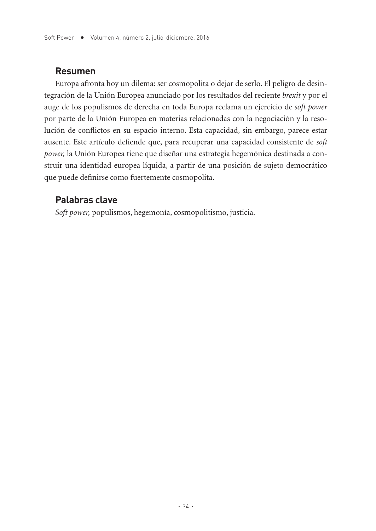#### **Resumen**

Europa afronta hoy un dilema: ser cosmopolita o dejar de serlo. El peligro de desintegración de la Unión Europea anunciado por los resultados del reciente *brexit* y por el auge de los populismos de derecha en toda Europa reclama un ejercicio de *soft power* por parte de la Unión Europea en materias relacionadas con la negociación y la resolución de conflictos en su espacio interno. Esta capacidad, sin embargo, parece estar ausente. Este artículo defiende que, para recuperar una capacidad consistente de *soft power,* la Unión Europea tiene que diseñar una estrategia hegemónica destinada a construir una identidad europea líquida, a partir de una posición de sujeto democrático que puede definirse como fuertemente cosmopolita.

### **Palabras clave**

*Soft power,* populismos, hegemonía, cosmopolitismo, justicia.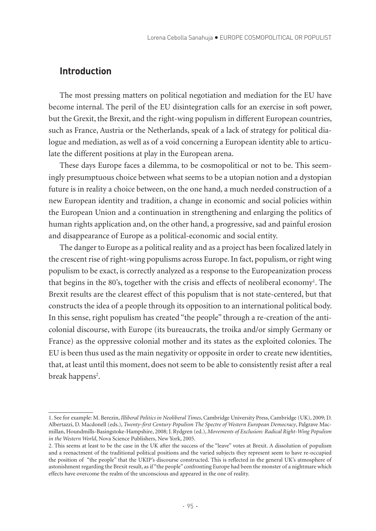#### **Introduction**

The most pressing matters on political negotiation and mediation for the EU have become internal. The peril of the EU disintegration calls for an exercise in soft power, but the Grexit, the Brexit, and the right-wing populism in different European countries, such as France, Austria or the Netherlands, speak of a lack of strategy for political dialogue and mediation, as well as of a void concerning a European identity able to articulate the different positions at play in the European arena.

These days Europe faces a dilemma, to be cosmopolitical or not to be. This seemingly presumptuous choice between what seems to be a utopian notion and a dystopian future is in reality a choice between, on the one hand, a much needed construction of a new European identity and tradition, a change in economic and social policies within the European Union and a continuation in strengthening and enlarging the politics of human rights application and, on the other hand, a progressive, sad and painful erosion and disappearance of Europe as a political-economic and social entity.

The danger to Europe as a political reality and as a project has been focalized lately in the crescent rise of right-wing populisms across Europe. In fact, populism, or right wing populism to be exact, is correctly analyzed as a response to the Europeanization process that begins in the 80's, together with the crisis and effects of neoliberal economy<sup>1</sup>. The Brexit results are the clearest effect of this populism that is not state-centered, but that constructs the idea of a people through its opposition to an international political body. In this sense, right populism has created "the people" through a re-creation of the anticolonial discourse, with Europe (its bureaucrats, the troika and/or simply Germany or France) as the oppressive colonial mother and its states as the exploited colonies. The EU is been thus used as the main negativity or opposite in order to create new identities, that, at least until this moment, does not seem to be able to consistently resist after a real break happens<sup>2</sup>.

<sup>1.</sup> See for example: M. Berezin, *Illiberal Politics in Neoliberal Times*, Cambridge University Press, Cambridge (UK), 2009; D. Albertazzi, D. Macdonell (eds.), *Twenty-first Century Populism The Spectre of Western European Democracy*, Palgrave Macmillan, Houndmills-Basingstoke-Hampshire, 2008; J. Rydgren (ed.), *Movements of Exclusion: Radical Right-Wing Populism in the Western World*, Nova Science Publishers, New York, 2005.

<sup>2.</sup> This seems at least to be the case in the UK after the success of the "leave" votes at Brexit. A dissolution of populism and a reenactment of the traditional political positions and the varied subjects they represent seem to have re-occupied the position of "the people" that the UKIP's discourse constructed. This is reflected in the general UK's atmosphere of astonishment regarding the Brexit result, as if "the people" confronting Europe had been the monster of a nightmare which effects have overcome the realm of the unconscious and appeared in the one of reality.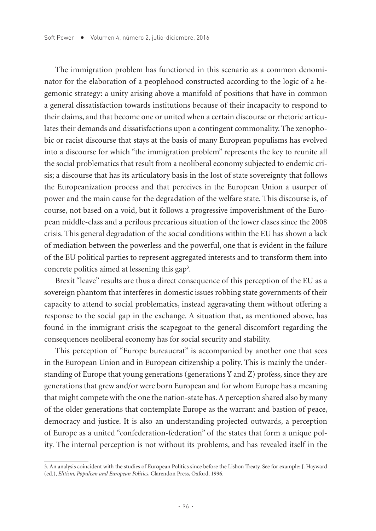The immigration problem has functioned in this scenario as a common denominator for the elaboration of a peoplehood constructed according to the logic of a hegemonic strategy: a unity arising above a manifold of positions that have in common a general dissatisfaction towards institutions because of their incapacity to respond to their claims, and that become one or united when a certain discourse or rhetoric articulates their demands and dissatisfactions upon a contingent commonality. The xenophobic or racist discourse that stays at the basis of many European populisms has evolved into a discourse for which "the immigration problem" represents the key to reunite all the social problematics that result from a neoliberal economy subjected to endemic crisis; a discourse that has its articulatory basis in the lost of state sovereignty that follows the Europeanization process and that perceives in the European Union a usurper of power and the main cause for the degradation of the welfare state. This discourse is, of course, not based on a void, but it follows a progressive impoverishment of the European middle-class and a perilous precarious situation of the lower clases since the 2008 crisis. This general degradation of the social conditions within the EU has shown a lack of mediation between the powerless and the powerful, one that is evident in the failure of the EU political parties to represent aggregated interests and to transform them into concrete politics aimed at lessening this gap<sup>3</sup>.

Brexit "leave" results are thus a direct consequence of this perception of the EU as a sovereign phantom that interferes in domestic issues robbing state governments of their capacity to attend to social problematics, instead aggravating them without offering a response to the social gap in the exchange. A situation that, as mentioned above, has found in the immigrant crisis the scapegoat to the general discomfort regarding the consequences neoliberal economy has for social security and stability.

This perception of "Europe bureaucrat" is accompanied by another one that sees in the European Union and in European citizenship a polity. This is mainly the understanding of Europe that young generations (generations Y and Z) profess, since they are generations that grew and/or were born European and for whom Europe has a meaning that might compete with the one the nation-state has. A perception shared also by many of the older generations that contemplate Europe as the warrant and bastion of peace, democracy and justice. It is also an understanding projected outwards, a perception of Europe as a united "confederation-federation" of the states that form a unique polity. The internal perception is not without its problems, and has revealed itself in the

<sup>3.</sup> An analysis coincident with the studies of European Politics since before the Lisbon Treaty. See for example: J. Hayward (ed.), *Elitism, Populism and European Politics*, Clarendon Press, Oxford, 1996.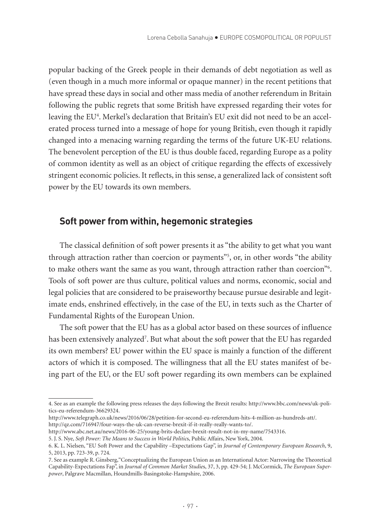popular backing of the Greek people in their demands of debt negotiation as well as (even though in a much more informal or opaque manner) in the recent petitions that have spread these days in social and other mass media of another referendum in Britain following the public regrets that some British have expressed regarding their votes for leaving the EU<sup>4</sup>. Merkel's declaration that Britain's EU exit did not need to be an accelerated process turned into a message of hope for young British, even though it rapidly changed into a menacing warning regarding the terms of the future UK-EU relations. The benevolent perception of the EU is thus double faced, regarding Europe as a polity of common identity as well as an object of critique regarding the effects of excessively stringent economic policies. It reflects, in this sense, a generalized lack of consistent soft power by the EU towards its own members.

#### **Soft power from within, hegemonic strategies**

The classical definition of soft power presents it as "the ability to get what you want through attraction rather than coercion or payments"5 , or, in other words "the ability to make others want the same as you want, through attraction rather than coercion"<sup>6</sup>. Tools of soft power are thus culture, political values and norms, economic, social and legal policies that are considered to be praiseworthy because pursue desirable and legitimate ends, enshrined effectively, in the case of the EU, in texts such as the Charter of Fundamental Rights of the European Union.

The soft power that the EU has as a global actor based on these sources of influence has been extensively analyzed<sup>7</sup>. But what about the soft power that the EU has regarded its own members? EU power within the EU space is mainly a function of the different actors of which it is composed. The willingness that all the EU states manifest of being part of the EU, or the EU soft power regarding its own members can be explained

<sup>4.</sup> See as an example the following press releases the days following the Brexit results: http://www.bbc.com/news/uk-politics-eu-referendum-36629324.

http://www.telegraph.co.uk/news/2016/06/28/petition-for-second-eu-referendum-hits-4-million-as-hundreds-att/. http://qz.com/716947/four-ways-the-uk-can-reverse-brexit-if-it-really-really-wants-to/.

http://www.abc.net.au/news/2016-06-25/young-brits-declare-brexit-result-not-in-my-name/7543316.

<sup>5.</sup> J. S. Nye, *Soft Power: The Means to Success in World Politic*s, Public Affairs, New York, 2004.

<sup>6.</sup> K. L. Nielsen, "EU Soft Power and the Capability –Expectations Gap", in *Journal of Contemporary European Research*, 9, 5, 2013, pp. 723-39, p. 724.

<sup>7.</sup> See as example R. Ginsberg,"Conceptualizing the European Union as an International Actor: Narrowing the Theoretical Capability-Expectations Fap", in *Journal of Common Market Studie*s, 37, 3, pp. 429-54; J. McCormick, *The European Superpower*, Palgrave Macmillan, Houndmills-Basingstoke-Hampshire, 2006.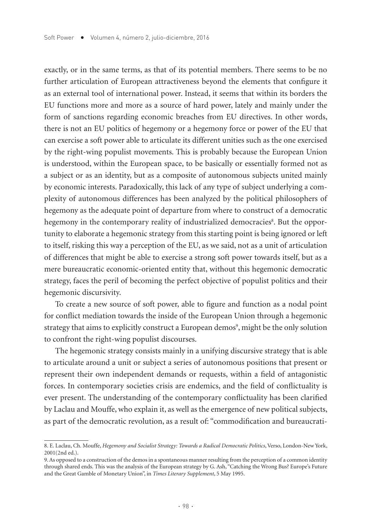exactly, or in the same terms, as that of its potential members. There seems to be no further articulation of European attractiveness beyond the elements that configure it as an external tool of international power. Instead, it seems that within its borders the EU functions more and more as a source of hard power, lately and mainly under the form of sanctions regarding economic breaches from EU directives. In other words, there is not an EU politics of hegemony or a hegemony force or power of the EU that can exercise a soft power able to articulate its different unities such as the one exercised by the right-wing populist movements. This is probably because the European Union is understood, within the European space, to be basically or essentially formed not as a subject or as an identity, but as a composite of autonomous subjects united mainly by economic interests. Paradoxically, this lack of any type of subject underlying a complexity of autonomous differences has been analyzed by the political philosophers of hegemony as the adequate point of departure from where to construct of a democratic hegemony in the contemporary reality of industrialized democracies<sup>8</sup>. But the opportunity to elaborate a hegemonic strategy from this starting point is being ignored or left to itself, risking this way a perception of the EU, as we said, not as a unit of articulation of differences that might be able to exercise a strong soft power towards itself, but as a mere bureaucratic economic-oriented entity that, without this hegemonic democratic strategy, faces the peril of becoming the perfect objective of populist politics and their hegemonic discursivity.

To create a new source of soft power, able to figure and function as a nodal point for conflict mediation towards the inside of the European Union through a hegemonic strategy that aims to explicitly construct a European demos<sup>9</sup>, might be the only solution to confront the right-wing populist discourses.

The hegemonic strategy consists mainly in a unifying discursive strategy that is able to articulate around a unit or subject a series of autonomous positions that present or represent their own independent demands or requests, within a field of antagonistic forces. In contemporary societies crisis are endemics, and the field of conflictuality is ever present. The understanding of the contemporary conflictuality has been clarified by Laclau and Mouffe, who explain it, as well as the emergence of new political subjects, as part of the democratic revolution, as a result of: "commodification and bureaucrati-

<sup>8.</sup> E. Laclau, Ch. Mouffe, *Hegemony and Socialist Strategy: Towards a Radical Democratic Politics*, Verso, London-New York, 2001(2nd ed.).

<sup>9.</sup> As opposed to a construction of the demos in a spontaneous manner resulting from the perception of a common identity through shared ends. This was the analysis of the European strategy by G. Ash, "Catching the Wrong Bus? Europe's Future and the Great Gamble of Monetary Union", in *Times Literary Supplement*, 5 May 1995.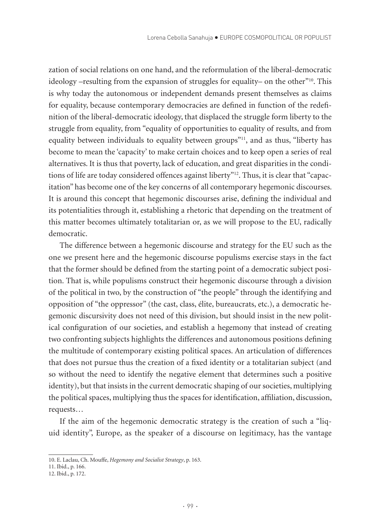zation of social relations on one hand, and the reformulation of the liberal-democratic ideology –resulting from the expansion of struggles for equality– on the other"10. This is why today the autonomous or independent demands present themselves as claims for equality, because contemporary democracies are defined in function of the redefinition of the liberal-democratic ideology, that displaced the struggle form liberty to the struggle from equality, from "equality of opportunities to equality of results, and from equality between individuals to equality between groups"<sup>11</sup>, and as thus, "liberty has become to mean the 'capacity' to make certain choices and to keep open a series of real alternatives. It is thus that poverty, lack of education, and great disparities in the conditions of life are today considered offences against liberty"<sup>12</sup>. Thus, it is clear that "capacitation" has become one of the key concerns of all contemporary hegemonic discourses. It is around this concept that hegemonic discourses arise, defining the individual and its potentialities through it, establishing a rhetoric that depending on the treatment of this matter becomes ultimately totalitarian or, as we will propose to the EU, radically democratic.

The difference between a hegemonic discourse and strategy for the EU such as the one we present here and the hegemonic discourse populisms exercise stays in the fact that the former should be defined from the starting point of a democratic subject position. That is, while populisms construct their hegemonic discourse through a division of the political in two, by the construction of "the people" through the identifying and opposition of "the oppressor" (the cast, class, élite, bureaucrats, etc.), a democratic hegemonic discursivity does not need of this division, but should insist in the new political configuration of our societies, and establish a hegemony that instead of creating two confronting subjects highlights the differences and autonomous positions defining the multitude of contemporary existing political spaces. An articulation of differences that does not pursue thus the creation of a fixed identity or a totalitarian subject (and so without the need to identify the negative element that determines such a positive identity), but that insists in the current democratic shaping of our societies, multiplying the political spaces, multiplying thus the spaces for identification, affiliation, discussion, requests…

If the aim of the hegemonic democratic strategy is the creation of such a "liquid identity", Europe, as the speaker of a discourse on legitimacy, has the vantage

<sup>10.</sup> E. Laclau, Ch. Mouffe, *Hegemony and Socialist Strategy*, p. 163.

<sup>11.</sup> Ibid., p. 166.

<sup>12.</sup> Ibid., p. 172.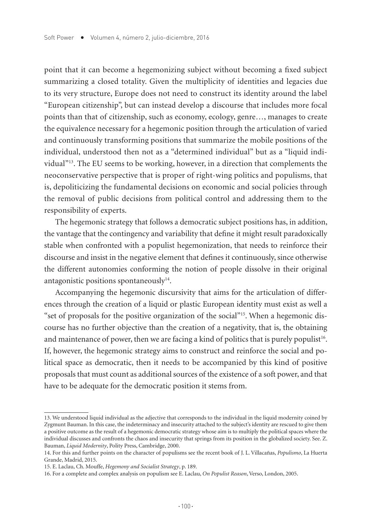point that it can become a hegemonizing subject without becoming a fixed subject summarizing a closed totality. Given the multiplicity of identities and legacies due to its very structure, Europe does not need to construct its identity around the label "European citizenship", but can instead develop a discourse that includes more focal points than that of citizenship, such as economy, ecology, genre…, manages to create the equivalence necessary for a hegemonic position through the articulation of varied and continuously transforming positions that summarize the mobile positions of the individual, understood then not as a "determined individual" but as a "liquid individual"13. The EU seems to be working, however, in a direction that complements the neoconservative perspective that is proper of right-wing politics and populisms, that is, depoliticizing the fundamental decisions on economic and social policies through the removal of public decisions from political control and addressing them to the responsibility of experts.

The hegemonic strategy that follows a democratic subject positions has, in addition, the vantage that the contingency and variability that define it might result paradoxically stable when confronted with a populist hegemonization, that needs to reinforce their discourse and insist in the negative element that defines it continuously, since otherwise the different autonomies conforming the notion of people dissolve in their original antagonistic positions spontaneously $14$ .

Accompanying the hegemonic discursivity that aims for the articulation of differences through the creation of a liquid or plastic European identity must exist as well a "set of proposals for the positive organization of the social"15. When a hegemonic discourse has no further objective than the creation of a negativity, that is, the obtaining and maintenance of power, then we are facing a kind of politics that is purely populist<sup>16</sup>. If, however, the hegemonic strategy aims to construct and reinforce the social and political space as democratic, then it needs to be accompanied by this kind of positive proposals that must count as additional sources of the existence of a soft power, and that have to be adequate for the democratic position it stems from.

<sup>13.</sup> We understood liquid individual as the adjective that corresponds to the individual in the liquid modernity coined by Zygmunt Bauman. In this case, the indeterminacy and insecurity attached to the subject's identity are rescued to give them a positive outcome as the result of a hegemonic democratic strategy whose aim is to multiply the political spaces where the individual discusses and confronts the chaos and insecurity that springs from its position in the globalized society. See. Z. Bauman, *Liquid Modernity*, Polity Press, Cambridge, 2000.

<sup>14.</sup> For this and further points on the character of populisms see the recent book of J. L. Villacañas, *Populismo*, La Huerta Grande, Madrid, 2015.

<sup>15.</sup> E. Laclau, Ch. Mouffe, *Hegemony and Socialist Strategy*, p. 189.

<sup>16.</sup> For a complete and complex analysis on populism see E. Laclau, *On Populist Reason*, Verso, London, 2005.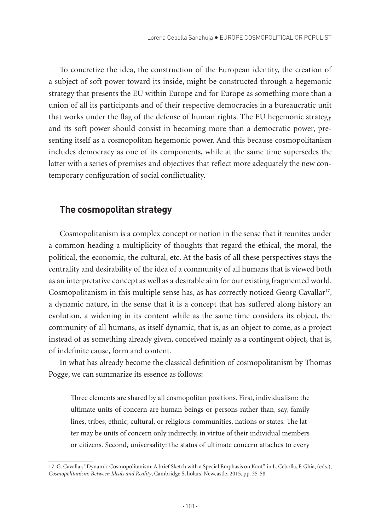To concretize the idea, the construction of the European identity, the creation of a subject of soft power toward its inside, might be constructed through a hegemonic strategy that presents the EU within Europe and for Europe as something more than a union of all its participants and of their respective democracies in a bureaucratic unit that works under the flag of the defense of human rights. The EU hegemonic strategy and its soft power should consist in becoming more than a democratic power, presenting itself as a cosmopolitan hegemonic power. And this because cosmopolitanism includes democracy as one of its components, while at the same time supersedes the latter with a series of premises and objectives that reflect more adequately the new contemporary configuration of social conflictuality.

#### **The cosmopolitan strategy**

Cosmopolitanism is a complex concept or notion in the sense that it reunites under a common heading a multiplicity of thoughts that regard the ethical, the moral, the political, the economic, the cultural, etc. At the basis of all these perspectives stays the centrality and desirability of the idea of a community of all humans that is viewed both as an interpretative concept as well as a desirable aim for our existing fragmented world. Cosmopolitanism in this multiple sense has, as has correctly noticed Georg Cavallar<sup>17</sup>, a dynamic nature, in the sense that it is a concept that has suffered along history an evolution, a widening in its content while as the same time considers its object, the community of all humans, as itself dynamic, that is, as an object to come, as a project instead of as something already given, conceived mainly as a contingent object, that is, of indefinite cause, form and content.

In what has already become the classical definition of cosmopolitanism by Thomas Pogge, we can summarize its essence as follows:

Three elements are shared by all cosmopolitan positions. First, individualism: the ultimate units of concern are human beings or persons rather than, say, family lines, tribes, ethnic, cultural, or religious communities, nations or states. The latter may be units of concern only indirectly, in virtue of their individual members or citizens. Second, universality: the status of ultimate concern attaches to every

<sup>17.</sup> G. Cavallar, "Dynamic Cosmopolitanism: A brief Sketch with a Special Emphasis on Kant", in L. Cebolla, F. Ghia, (eds.), *Cosmopolitanism: Between Ideals and Reality*, Cambridge Scholars, Newcastle, 2015, pp. 35-58.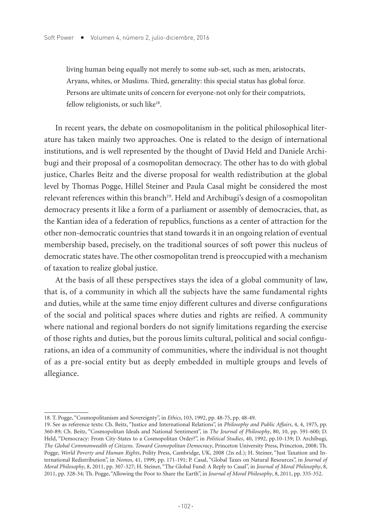living human being equally not merely to some sub-set, such as men, aristocrats, Aryans, whites, or Muslims. Third, generality: this special status has global force. Persons are ultimate units of concern for everyone-not only for their compatriots, fellow religionists, or such like<sup>18</sup>.

In recent years, the debate on cosmopolitanism in the political philosophical literature has taken mainly two approaches. One is related to the design of international institutions, and is well represented by the thought of David Held and Daniele Archibugi and their proposal of a cosmopolitan democracy. The other has to do with global justice, Charles Beitz and the diverse proposal for wealth redistribution at the global level by Thomas Pogge, Hillel Steiner and Paula Casal might be considered the most relevant references within this branch<sup>19</sup>. Held and Archibugi's design of a cosmopolitan democracy presents it like a form of a parliament or assembly of democracies, that, as the Kantian idea of a federation of republics, functions as a center of attraction for the other non-democratic countries that stand towards it in an ongoing relation of eventual membership based, precisely, on the traditional sources of soft power this nucleus of democratic states have. The other cosmopolitan trend is preoccupied with a mechanism of taxation to realize global justice.

At the basis of all these perspectives stays the idea of a global community of law, that is, of a community in which all the subjects have the same fundamental rights and duties, while at the same time enjoy different cultures and diverse configurations of the social and political spaces where duties and rights are reified. A community where national and regional borders do not signify limitations regarding the exercise of those rights and duties, but the porous limits cultural, political and social configurations, an idea of a community of communities, where the individual is not thought of as a pre-social entity but as deeply embedded in multiple groups and levels of allegiance.

<sup>18.</sup> T. Pogge, "Cosmopolitanism and Sovereignty", in *Ethics*, 103, 1992, pp. 48-75, pp. 48-49.

<sup>19.</sup> See as reference texts: Ch. Beitz, "Justice and International Relations", in *Philosophy and Public Affairs*, 4, 4, 1975, pp. 360-89; Ch. Beitz, "Cosmopolitan Ideals and National Sentiment", in *The Journal of Philosophy*, 80, 10, pp. 591-600; D. Held, "Democracy: From City-States to a Cosmopolitan Order?", in *Political Studies*, 40, 1992, pp.10-139; D. Archibugi, *The Global Commonwealth of Citizens. Toward Cosmopolitan Democracy*, Princeton University Press, Princeton, 2008; Th. Pogge, *World Poverty and Human Rights*, Polity Press, Cambridge, UK, 2008 (2n ed.); H. Steiner, "Just Taxation and International Redistribution", in *Nomos*, 41, 1999, pp. 171-191; P. Casal, "Global Taxes on Natural Resources", in *Journal of Moral Philosophy*, 8, 2011, pp. 307-327; H. Steiner, "The Global Fund: A Reply to Casal", in *Journal of Moral Philosophy*, 8, 2011, pp. 328-34; Th. Pogge, "Allowing the Poor to Share the Earth", in *Journal of Moral Philosophy*, 8, 2011, pp. 335-352.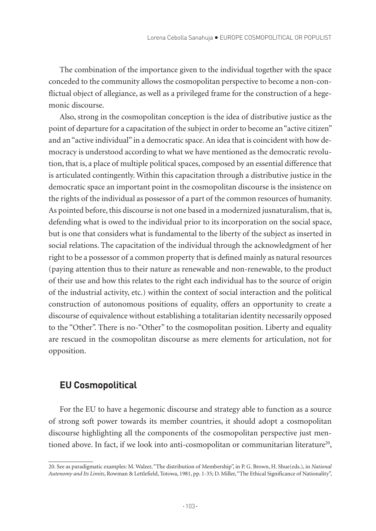The combination of the importance given to the individual together with the space conceded to the community allows the cosmopolitan perspective to become a non-conflictual object of allegiance, as well as a privileged frame for the construction of a hegemonic discourse.

Also, strong in the cosmopolitan conception is the idea of distributive justice as the point of departure for a capacitation of the subject in order to become an "active citizen" and an "active individual" in a democratic space. An idea that is coincident with how democracy is understood according to what we have mentioned as the democratic revolution, that is, a place of multiple political spaces, composed by an essential difference that is articulated contingently. Within this capacitation through a distributive justice in the democratic space an important point in the cosmopolitan discourse is the insistence on the rights of the individual as possessor of a part of the common resources of humanity. As pointed before, this discourse is not one based in a modernized jusnaturalism, that is, defending what is owed to the individual prior to its incorporation on the social space, but is one that considers what is fundamental to the liberty of the subject as inserted in social relations. The capacitation of the individual through the acknowledgment of her right to be a possessor of a common property that is defined mainly as natural resources (paying attention thus to their nature as renewable and non-renewable, to the product of their use and how this relates to the right each individual has to the source of origin of the industrial activity, etc.) within the context of social interaction and the political construction of autonomous positions of equality, offers an opportunity to create a discourse of equivalence without establishing a totalitarian identity necessarily opposed to the "Other". There is no-"Other" to the cosmopolitan position. Liberty and equality are rescued in the cosmopolitan discourse as mere elements for articulation, not for opposition.

# **EU Cosmopolitical**

For the EU to have a hegemonic discourse and strategy able to function as a source of strong soft power towards its member countries, it should adopt a cosmopolitan discourse highlighting all the components of the cosmopolitan perspective just mentioned above. In fact, if we look into anti-cosmopolitan or communitarian literature<sup>20</sup>,

<sup>20.</sup> See as paradigmatic examples: M. Walzer, "The distribution of Membership", in P. G. Brown, H. Shue(eds.), in *National Autonomy and Its Limits*, Rowman & Lettlefield, Totowa, 1981, pp. 1-35; D. Miller, "The Ethical Significance of Nationality",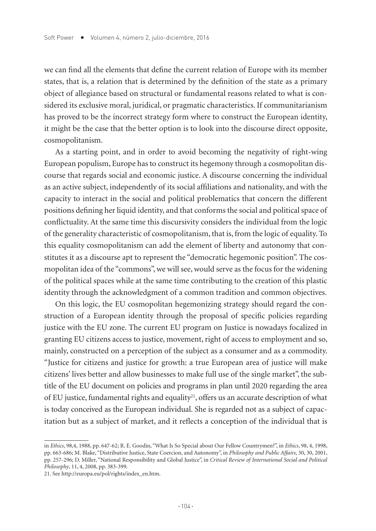we can find all the elements that define the current relation of Europe with its member states, that is, a relation that is determined by the definition of the state as a primary object of allegiance based on structural or fundamental reasons related to what is considered its exclusive moral, juridical, or pragmatic characteristics. If communitarianism has proved to be the incorrect strategy form where to construct the European identity, it might be the case that the better option is to look into the discourse direct opposite, cosmopolitanism.

As a starting point, and in order to avoid becoming the negativity of right-wing European populism, Europe has to construct its hegemony through a cosmopolitan discourse that regards social and economic justice. A discourse concerning the individual as an active subject, independently of its social affiliations and nationality, and with the capacity to interact in the social and political problematics that concern the different positions defining her liquid identity, and that conforms the social and political space of conflictuality. At the same time this discursivity considers the individual from the logic of the generality characteristic of cosmopolitanism, that is, from the logic of equality. To this equality cosmopolitanism can add the element of liberty and autonomy that constitutes it as a discourse apt to represent the "democratic hegemonic position". The cosmopolitan idea of the "commons", we will see, would serve as the focus for the widening of the political spaces while at the same time contributing to the creation of this plastic identity through the acknowledgment of a common tradition and common objectives.

On this logic, the EU cosmopolitan hegemonizing strategy should regard the construction of a European identity through the proposal of specific policies regarding justice with the EU zone. The current EU program on Justice is nowadays focalized in granting EU citizens access to justice, movement, right of access to employment and so, mainly, constructed on a perception of the subject as a consumer and as a commodity. "Justice for citizens and justice for growth: a true European area of justice will make citizens' lives better and allow businesses to make full use of the single market", the subtitle of the EU document on policies and programs in plan until 2020 regarding the area of EU justice, fundamental rights and equality<sup>21</sup>, offers us an accurate description of what is today conceived as the European individual. She is regarded not as a subject of capacitation but as a subject of market, and it reflects a conception of the individual that is

in *Ethics*, 98,4, 1988, pp. 647-62; R. E. Goodin, "What Is So Special about Our Fellow Countrymen?", in *Ethics*, 98, 4, 1998, pp. 663-686; M. Blake, "Distributive Justice, State Coercion, and Autonomy", in *Philosophy and Public Affairs*, 30, 30, 2001, pp. 257-296; D. Miller, "National Responsibility and Global Justice", in *Critical Review of International Social and Political Philosophy*, 11, 4, 2008, pp. 383-399.

<sup>21.</sup> See http://europa.eu/pol/rights/index\_en.htm.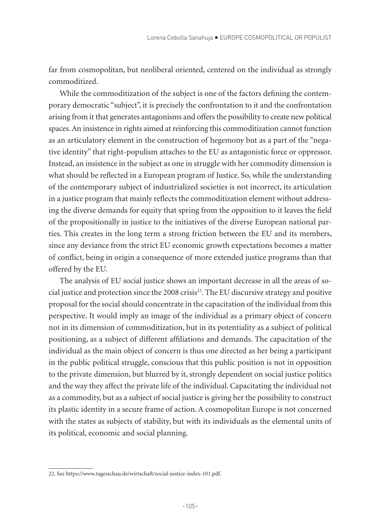far from cosmopolitan, but neoliberal oriented, centered on the individual as strongly commoditized.

While the commoditization of the subject is one of the factors defining the contemporary democratic "subject", it is precisely the confrontation to it and the confrontation arising from it that generates antagonisms and offers the possibility to create new political spaces. An insistence in rights aimed at reinforcing this commoditization cannot function as an articulatory element in the construction of hegemony but as a part of the "negative identity" that right-populism attaches to the EU as antagonistic force or oppressor. Instead, an insistence in the subject as one in struggle with her commodity dimension is what should be reflected in a European program of Justice. So, while the understanding of the contemporary subject of industrialized societies is not incorrect, its articulation in a justice program that mainly reflects the commoditization element without addressing the diverse demands for equity that spring from the opposition to it leaves the field of the propositionally in justice to the initiatives of the diverse European national parties. This creates in the long term a strong friction between the EU and its members, since any deviance from the strict EU economic growth expectations becomes a matter of conflict, being in origin a consequence of more extended justice programs than that offered by the EU.

The analysis of EU social justice shows an important decrease in all the areas of social justice and protection since the 2008 crisis<sup>22</sup>. The EU discursive strategy and positive proposal for the social should concentrate in the capacitation of the individual from this perspective. It would imply an image of the individual as a primary object of concern not in its dimension of commoditization, but in its potentiality as a subject of political positioning, as a subject of different affiliations and demands. The capacitation of the individual as the main object of concern is thus one directed as her being a participant in the public political struggle, conscious that this public position is not in opposition to the private dimension, but blurred by it, strongly dependent on social justice politics and the way they affect the private life of the individual. Capacitating the individual not as a commodity, but as a subject of social justice is giving her the possibility to construct its plastic identity in a secure frame of action. A cosmopolitan Europe is not concerned with the states as subjects of stability, but with its individuals as the elemental units of its political, economic and social planning.

<sup>22.</sup> See https://www.tagesschau.de/wirtschaft/social-justice-index-101.pdf.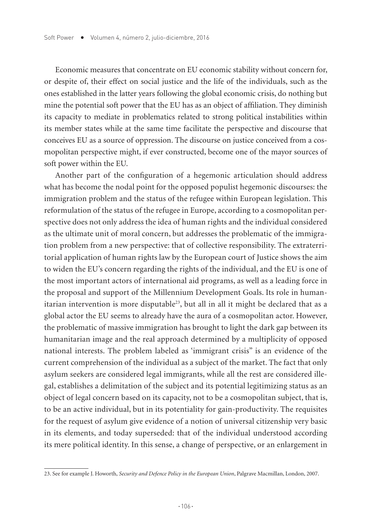Economic measures that concentrate on EU economic stability without concern for, or despite of, their effect on social justice and the life of the individuals, such as the ones established in the latter years following the global economic crisis, do nothing but mine the potential soft power that the EU has as an object of affiliation. They diminish its capacity to mediate in problematics related to strong political instabilities within its member states while at the same time facilitate the perspective and discourse that conceives EU as a source of oppression. The discourse on justice conceived from a cosmopolitan perspective might, if ever constructed, become one of the mayor sources of soft power within the EU.

Another part of the configuration of a hegemonic articulation should address what has become the nodal point for the opposed populist hegemonic discourses: the immigration problem and the status of the refugee within European legislation. This reformulation of the status of the refugee in Europe, according to a cosmopolitan perspective does not only address the idea of human rights and the individual considered as the ultimate unit of moral concern, but addresses the problematic of the immigration problem from a new perspective: that of collective responsibility. The extraterritorial application of human rights law by the European court of Justice shows the aim to widen the EU's concern regarding the rights of the individual, and the EU is one of the most important actors of international aid programs, as well as a leading force in the proposal and support of the Millennium Development Goals. Its role in humanitarian intervention is more disputable<sup>23</sup>, but all in all it might be declared that as a global actor the EU seems to already have the aura of a cosmopolitan actor. However, the problematic of massive immigration has brought to light the dark gap between its humanitarian image and the real approach determined by a multiplicity of opposed national interests. The problem labeled as 'immigrant crisis" is an evidence of the current comprehension of the individual as a subject of the market. The fact that only asylum seekers are considered legal immigrants, while all the rest are considered illegal, establishes a delimitation of the subject and its potential legitimizing status as an object of legal concern based on its capacity, not to be a cosmopolitan subject, that is, to be an active individual, but in its potentiality for gain-productivity. The requisites for the request of asylum give evidence of a notion of universal citizenship very basic in its elements, and today superseded: that of the individual understood according its mere political identity. In this sense, a change of perspective, or an enlargement in

<sup>23.</sup> See for example J. Howorth, *Security and Defence Policy in the European Union*, Palgrave Macmillan, London, 2007.